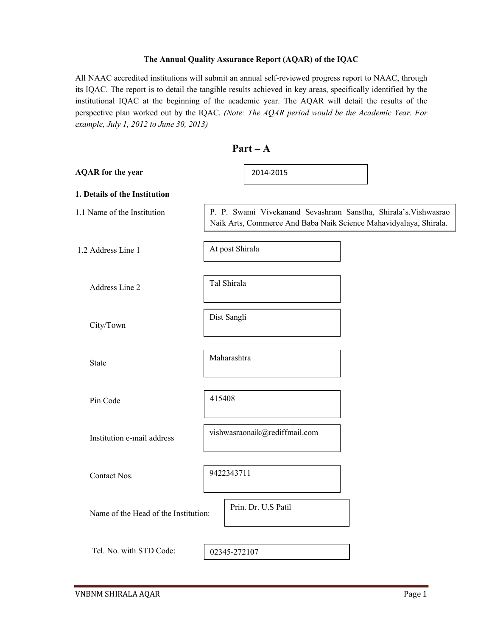#### The Annual Quality Assurance Report (AQAR) of the IQAC

All NAAC accredited institutions will submit an annual self-reviewed progress report to NAAC, through its IQAC. The report is to detail the tangible results achieved in key areas, specifically identified by the institutional IQAC at the beginning of the academic year. The AQAR will detail the results of the perspective plan worked out by the IQAC. (Note: The AQAR period would be the Academic Year. For example, July 1, 2012 to June 30, 2013)

| $Part - A$                           |                                                                                                                                      |  |  |  |
|--------------------------------------|--------------------------------------------------------------------------------------------------------------------------------------|--|--|--|
| <b>AQAR</b> for the year             | 2014-2015                                                                                                                            |  |  |  |
| 1. Details of the Institution        |                                                                                                                                      |  |  |  |
| 1.1 Name of the Institution          | P. P. Swami Vivekanand Sevashram Sanstha, Shirala's. Vishwasrao<br>Naik Arts, Commerce And Baba Naik Science Mahavidyalaya, Shirala. |  |  |  |
| 1.2 Address Line 1                   | At post Shirala                                                                                                                      |  |  |  |
| Address Line 2                       | Tal Shirala                                                                                                                          |  |  |  |
| City/Town                            | Dist Sangli                                                                                                                          |  |  |  |
| <b>State</b>                         | Maharashtra                                                                                                                          |  |  |  |
| Pin Code                             | 415408                                                                                                                               |  |  |  |
| Institution e-mail address           | vishwasraonaik@rediffmail.com                                                                                                        |  |  |  |
| Contact Nos.                         | 9422343711                                                                                                                           |  |  |  |
| Name of the Head of the Institution: | Prin. Dr. U.S Patil                                                                                                                  |  |  |  |
| Tel. No. with STD Code:              | 02345-272107                                                                                                                         |  |  |  |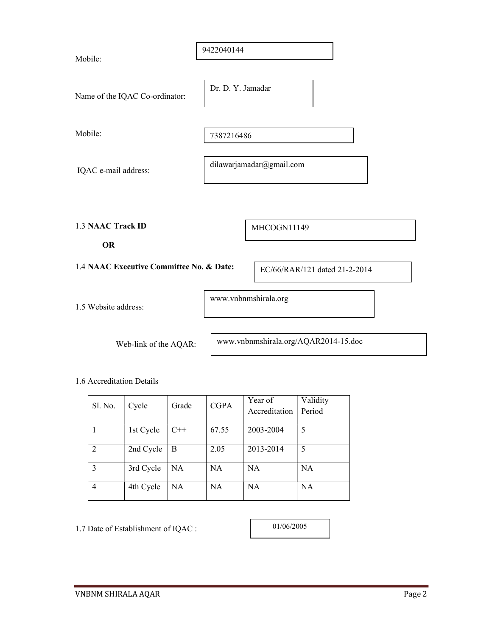| Mobile:                                  | 9422040144               |                      |                               |  |
|------------------------------------------|--------------------------|----------------------|-------------------------------|--|
| Name of the IQAC Co-ordinator:           | Dr. D. Y. Jamadar        |                      |                               |  |
| Mobile:                                  | 7387216486               |                      |                               |  |
| IQAC e-mail address:                     | dilawarjamadar@gmail.com |                      |                               |  |
|                                          |                          |                      |                               |  |
| <b>1.3 NAAC Track ID</b><br><b>OR</b>    |                          | MHCOGN11149          |                               |  |
| 1.4 NAAC Executive Committee No. & Date: |                          |                      | EC/66/RAR/121 dated 21-2-2014 |  |
| 1.5 Website address:                     |                          | www.vnbnmshirala.org |                               |  |

Web-link of the AQAR:

www.vnbnmshirala.org/AQAR2014-15.doc

1.6 Accreditation Details

| Sl. No.        | Cycle     | Grade     | <b>CGPA</b> | Year of       | Validity  |
|----------------|-----------|-----------|-------------|---------------|-----------|
|                |           |           |             | Accreditation | Period    |
|                |           |           |             |               |           |
|                | 1st Cycle | $C++$     | 67.55       | 2003-2004     | 5         |
| $\overline{2}$ | 2nd Cycle | B         | 2.05        | 2013-2014     | 5         |
| 3              | 3rd Cycle | NA        | <b>NA</b>   | <b>NA</b>     | <b>NA</b> |
| 4              | 4th Cycle | <b>NA</b> | <b>NA</b>   | <b>NA</b>     | NA        |

1.7 Date of Establishment of IQAC :

01/06/2005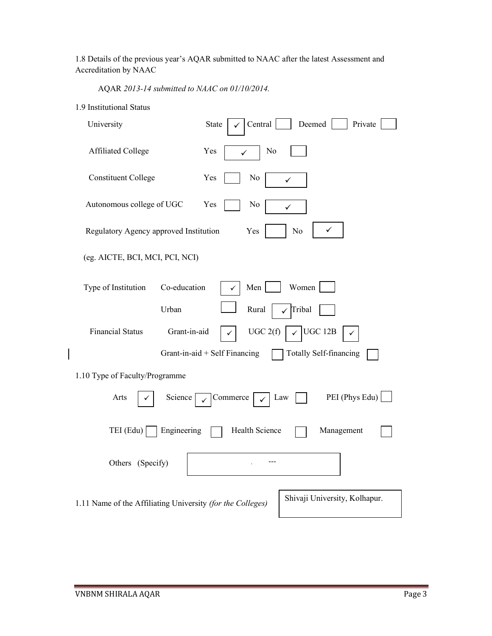1.8 Details of the previous year's AQAR submitted to NAAC after the latest Assessment and Accreditation by NAAC

AQAR 2013-14 submitted to NAAC on 01/10/2014.

| 1.9 Institutional Status |  |
|--------------------------|--|
|                          |  |

| University                                                 | Central<br>Deemed<br>State<br>Private                          |
|------------------------------------------------------------|----------------------------------------------------------------|
| <b>Affiliated College</b>                                  | Yes<br>No<br>✓                                                 |
| <b>Constituent College</b>                                 | Yes<br>No<br>✓                                                 |
| Autonomous college of UGC                                  | Yes<br>No<br>✓                                                 |
| Regulatory Agency approved Institution                     | Yes<br>No                                                      |
| (eg. AICTE, BCI, MCI, PCI, NCI)                            |                                                                |
| Type of Institution<br>Co-education                        | Men  <br>Women                                                 |
| Urban                                                      | Rural<br>Tribal                                                |
| <b>Financial Status</b>                                    | Grant-in-aid<br>UGC 12B<br>UGC 2(f)                            |
|                                                            | <b>Totally Self-financing</b><br>Grant-in-aid + Self Financing |
| 1.10 Type of Faculty/Programme                             |                                                                |
| Arts<br>Science                                            | PEI (Phys Edu)<br>Commerce<br>Law                              |
| Engineering<br>TEI (Edu)                                   | Health Science<br>Management                                   |
| Others (Specify)                                           |                                                                |
| 1.11 Name of the Affiliating University (for the Colleges) | Shivaji University, Kolhapur.                                  |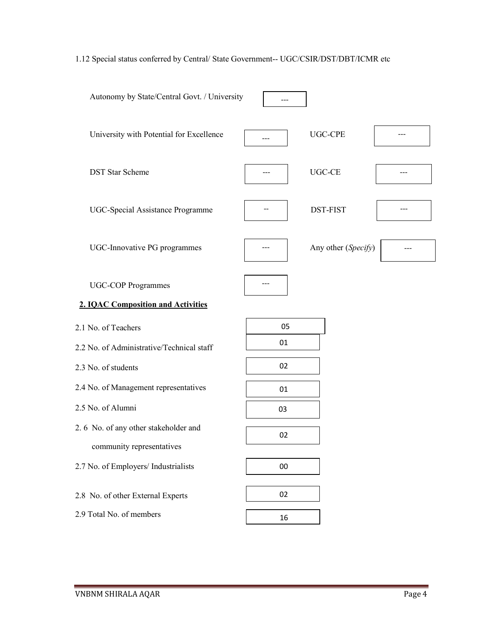## 1.12 Special status conferred by Central/ State Government-- UGC/CSIR/DST/DBT/ICMR etc

| Autonomy by State/Central Govt. / University |     |                     |  |
|----------------------------------------------|-----|---------------------|--|
| University with Potential for Excellence     | --- | <b>UGC-CPE</b>      |  |
| <b>DST Star Scheme</b>                       |     | UGC-CE              |  |
| UGC-Special Assistance Programme             |     | DST-FIST            |  |
| UGC-Innovative PG programmes                 |     | Any other (Specify) |  |
| <b>UGC-COP Programmes</b>                    |     |                     |  |
| <b>2. IOAC Composition and Activities</b>    |     |                     |  |
| 2.1 No. of Teachers                          | 05  |                     |  |
| 2.2 No. of Administrative/Technical staff    | 01  |                     |  |
| 2.3 No. of students                          | 02  |                     |  |
| 2.4 No. of Management representatives        | 01  |                     |  |
| 2.5 No. of Alumni                            | 03  |                     |  |
| 2.6 No. of any other stakeholder and         | 02  |                     |  |
| community representatives                    |     |                     |  |
| 2.7 No. of Employers/ Industrialists         | 00  |                     |  |
| 2.8 No. of other External Experts            | 02  |                     |  |
| 2.9 Total No. of members                     | 16  |                     |  |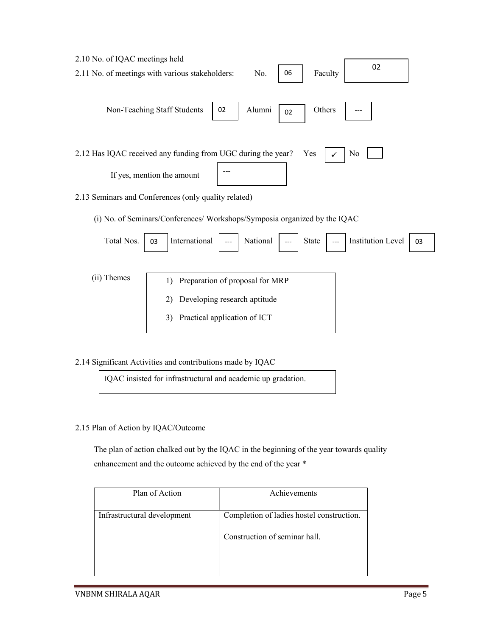| 2.10 No. of IQAC meetings held                                                                  |
|-------------------------------------------------------------------------------------------------|
| 02<br>06<br>2.11 No. of meetings with various stakeholders:<br>Faculty<br>No.                   |
| Alumni<br>Others<br>Non-Teaching Staff Students<br>02<br>02                                     |
| 2.12 Has IQAC received any funding from UGC during the year?<br>Yes<br>No                       |
| If yes, mention the amount                                                                      |
| 2.13 Seminars and Conferences (only quality related)                                            |
| (i) No. of Seminars/Conferences/ Workshops/Symposia organized by the IQAC                       |
| International<br><b>Institution Level</b><br>Total Nos.<br>National<br><b>State</b><br>03<br>03 |
| $(ii)$ Themes<br>1) Preparation of proposal for MRP                                             |

- 1) Preparation of proposal for MRP 2) Developing research aptitude 3) Practical application of ICT
- 2.14 Significant Activities and contributions made by IQAC

IQAC insisted for infrastructural and academic up gradation.

2.15 Plan of Action by IQAC/Outcome

 The plan of action chalked out by the IQAC in the beginning of the year towards quality enhancement and the outcome achieved by the end of the year \*

| Plan of Action              | Achievements                              |
|-----------------------------|-------------------------------------------|
| Infrastructural development | Completion of ladies hostel construction. |
|                             |                                           |
|                             | Construction of seminar hall.             |
|                             |                                           |
|                             |                                           |
|                             |                                           |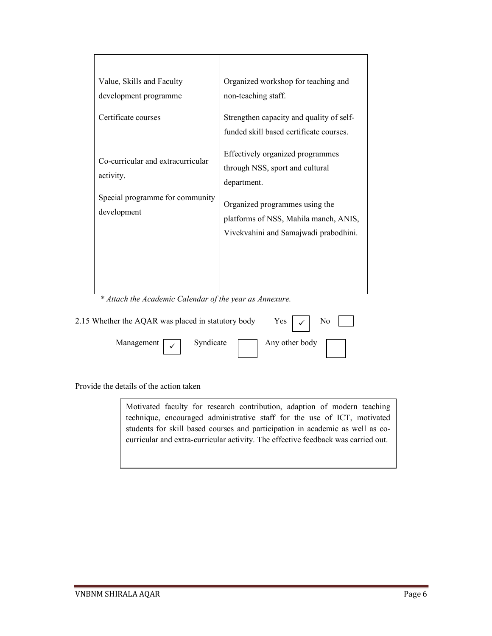| Value, Skills and Faculty<br>development programme<br>Certificate courses                        | Organized workshop for teaching and<br>non-teaching staff.<br>Strengthen capacity and quality of self-<br>funded skill based certificate courses.<br>Effectively organized programmes |
|--------------------------------------------------------------------------------------------------|---------------------------------------------------------------------------------------------------------------------------------------------------------------------------------------|
| Co-curricular and extracurricular<br>activity.<br>Special programme for community<br>development | through NSS, sport and cultural<br>department.<br>Organized programmes using the<br>platforms of NSS, Mahila manch, ANIS,<br>Vivekvahini and Samajwadi prabodhini.                    |
|                                                                                                  |                                                                                                                                                                                       |

\* Attach the Academic Calendar of the year as Annexure.

| 2.15 Whether the AQAR was placed in statutory body |                          |  |  |
|----------------------------------------------------|--------------------------|--|--|
| Management $\sqrt{\sqrt{ }}$                       | Syndicate Any other body |  |  |

Provide the details of the action taken

Motivated faculty for research contribution, adaption of modern teaching technique, encouraged administrative staff for the use of ICT, motivated students for skill based courses and participation in academic as well as cocurricular and extra-curricular activity. The effective feedback was carried out.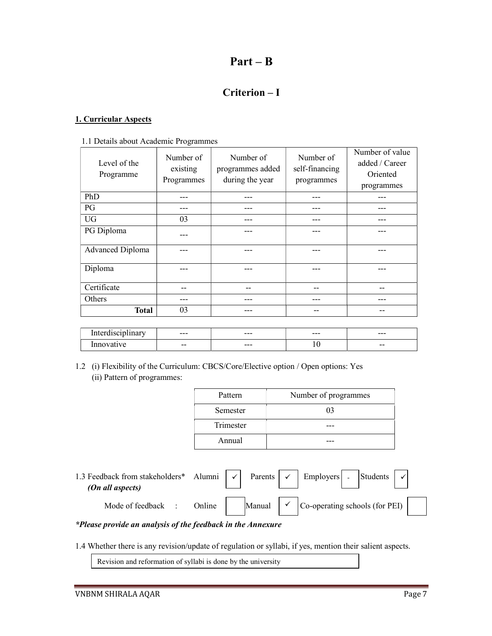# Part – B

## Criterion – I

#### 1. Curricular Aspects

1.1 Details about Academic Programmes

| Level of the<br>Programme | Number of<br>existing<br>Programmes | Number of<br>programmes added<br>during the year | Number of<br>self-financing<br>programmes | Number of value<br>added / Career<br>Oriented<br>programmes |
|---------------------------|-------------------------------------|--------------------------------------------------|-------------------------------------------|-------------------------------------------------------------|
| PhD                       | ---                                 |                                                  |                                           |                                                             |
| PG                        |                                     |                                                  |                                           |                                                             |
| <b>UG</b>                 | 03                                  |                                                  |                                           |                                                             |
| PG Diploma                |                                     |                                                  |                                           |                                                             |
| <b>Advanced Diploma</b>   |                                     |                                                  |                                           |                                                             |
| Diploma                   |                                     |                                                  |                                           |                                                             |
| Certificate               |                                     | --                                               | --                                        |                                                             |
| Others                    |                                     |                                                  |                                           |                                                             |
| <b>Total</b>              | 03                                  |                                                  | --                                        |                                                             |

| $\cdot$ $\cdot$<br>. . | $---$ | $---$ | $---$   | $---$ |
|------------------------|-------|-------|---------|-------|
|                        | $- -$ | $---$ | $\cdot$ | $- -$ |

1.2 (i) Flexibility of the Curriculum: CBCS/Core/Elective option / Open options: Yes (ii) Pattern of programmes:

| Pattern   | Number of programmes |
|-----------|----------------------|
| Semester  | 03                   |
| Trimester |                      |
| Annual    |                      |

1.3 Feedback from stakeholders\* Alumni  $\vert \checkmark \vert$  Parents  $\vert \checkmark \vert$  Employers  $\vert \cdot \vert$  Students (On all aspects) Mode of feedback : Online Manual  $\vert \cdot \vert$  Co-operating schools (for PEI) Employers  $\checkmark$ 

#### \*Please provide an analysis of the feedback in the Annexure

1.4 Whether there is any revision/update of regulation or syllabi, if yes, mention their salient aspects.

Revision and reformation of syllabi is done by the university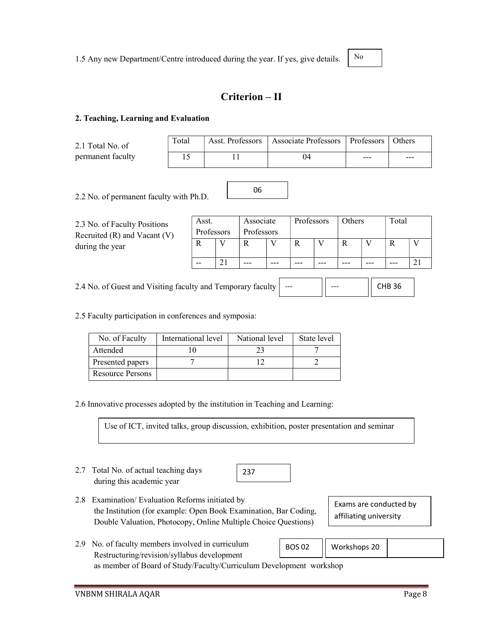No

## Criterion – II

#### 2. Teaching, Learning and Evaluation

| 2.1 Total No. of  |  |
|-------------------|--|
| permanent faculty |  |

| Total | Asst. Professors   Associate Professors   Professors   Others |     |     |  |
|-------|---------------------------------------------------------------|-----|-----|--|
|       |                                                               | --- | --- |  |

2.2 No. of permanent faculty with Ph.D.

| 2.3 No. of Faculty Positions<br>Recruited $(R)$ and Vacant $(V)$ | Asst.<br>Professors | Associate<br>Professors |         | Professors | Others | Total |  |
|------------------------------------------------------------------|---------------------|-------------------------|---------|------------|--------|-------|--|
| during the year                                                  |                     |                         |         |            |        |       |  |
|                                                                  | $- -$               | $-- -$                  | $- - -$ | ---        |        | ---   |  |

06

2.4 No. of Guest and Visiting faculty and Temporary faculty --- --- CHB 36

2.5 Faculty participation in conferences and symposia:

| No. of Faculty   | International level | National level | State level |
|------------------|---------------------|----------------|-------------|
| Attended         |                     |                |             |
| Presented papers |                     |                |             |
| Resource Persons |                     |                |             |

2.6 Innovative processes adopted by the institution in Teaching and Learning:

Use of ICT, invited talks, group discussion, exhibition, poster presentation and seminar

237

- 2.7 Total No. of actual teaching days during this academic year
- 2.8 Examination/ Evaluation Reforms initiated by the Institution (for example: Open Book Examination, Bar Coding, Double Valuation, Photocopy, Online Multiple Choice Questions)
- Exams are conducted by affiliating university
- 2.9 No. of faculty members involved in curriculum Restructuring/revision/syllabus development as member of Board of Study/Faculty/Curriculum Development workshop BOS 02 | Workshops 20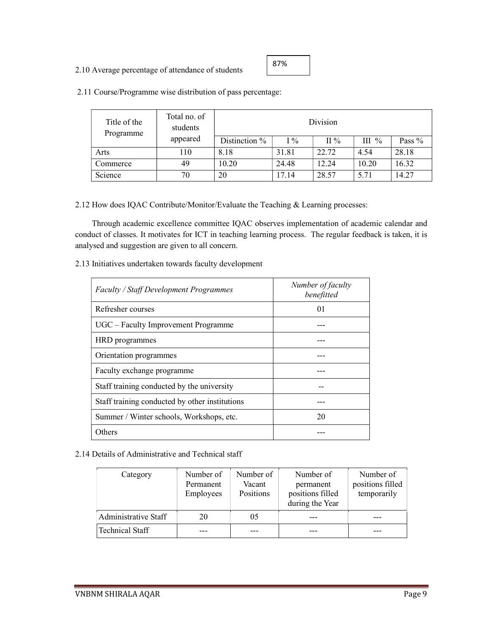#### 2.10 Average percentage of attendance of students

| 87% |  |
|-----|--|
|-----|--|

| Title of the<br>Programme | Total no. of<br>students |               |               | <b>Division</b> |         |          |
|---------------------------|--------------------------|---------------|---------------|-----------------|---------|----------|
|                           | appeared                 | Distinction % | $\frac{1}{2}$ | $\Pi\%$         | $III\%$ | Pass $%$ |
| Arts                      | 110                      | 8.18          | 31.81         | 22.72           | 4.54    | 28.18    |
| Commerce                  | 49                       | 10.20         | 24.48         | 12.24           | 10.20   | 16.32    |
| Science                   | 70                       | 20            | 17.14         | 28.57           | 5.71    | 14.27    |

2.11 Course/Programme wise distribution of pass percentage:

2.12 How does IQAC Contribute/Monitor/Evaluate the Teaching & Learning processes:

 Through academic excellence committee IQAC observes implementation of academic calendar and conduct of classes. It motivates for ICT in teaching learning process. The regular feedback is taken, it is analysed and suggestion are given to all concern.

2.13 Initiatives undertaken towards faculty development

| <b>Faculty / Staff Development Programmes</b>  | Number of faculty<br>benefitted |
|------------------------------------------------|---------------------------------|
| Refresher courses                              | 01                              |
| UGC – Faculty Improvement Programme            |                                 |
| HRD programmes                                 |                                 |
| Orientation programmes                         |                                 |
| Faculty exchange programme                     |                                 |
| Staff training conducted by the university     |                                 |
| Staff training conducted by other institutions |                                 |
| Summer / Winter schools, Workshops, etc.       | 20                              |
| Others                                         |                                 |

2.14 Details of Administrative and Technical staff

| Category               | Number of<br>Permanent<br>Employees | Number of<br>Vacant<br><b>Positions</b> | Number of<br>permanent<br>positions filled<br>during the Year | Number of<br>positions filled<br>temporarily |
|------------------------|-------------------------------------|-----------------------------------------|---------------------------------------------------------------|----------------------------------------------|
| Administrative Staff   | 20                                  | 05                                      |                                                               |                                              |
| <b>Technical Staff</b> |                                     |                                         |                                                               |                                              |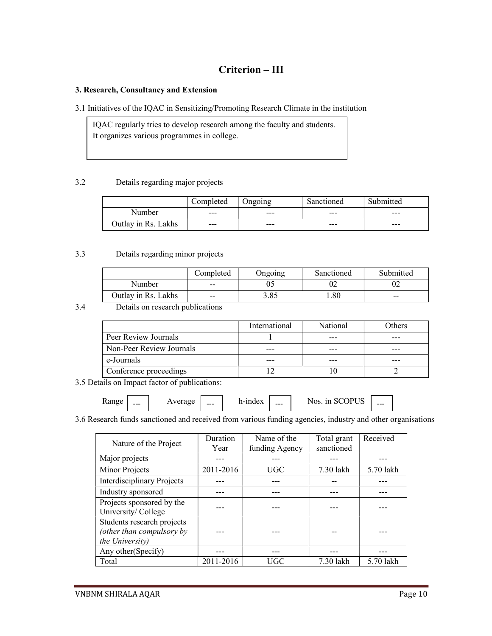## Criterion – III

#### 3. Research, Consultancy and Extension

3.1 Initiatives of the IQAC in Sensitizing/Promoting Research Climate in the institution

IQAC regularly tries to develop research among the faculty and students. It organizes various programmes in college.

#### 3.2 Details regarding major projects

|                     | Completed | Ongoing | Sanctioned | Submitted |
|---------------------|-----------|---------|------------|-----------|
| Number              | $---$     | $--$    | $---$      | $-- -$    |
| Outlay in Rs. Lakhs | $---$     | $-- -$  | $---$      | $---$     |

#### 3.3 Details regarding minor projects

|                     | Completed                | Ongoing | Sanctioned | Submitted |
|---------------------|--------------------------|---------|------------|-----------|
| Number              | $- -$                    |         |            |           |
| Outlay in Rs. Lakhs | $\overline{\phantom{m}}$ | 3.85    | .80        | $- -$     |

#### 3.4 Details on research publications

|                          | International | National | Others |
|--------------------------|---------------|----------|--------|
| Peer Review Journals     |               |          |        |
| Non-Peer Review Journals |               |          |        |
| e-Journals               |               |          |        |
| Conference proceedings   |               |          |        |

3.5 Details on Impact factor of publications:

| Range | $- - -$ | Average | --- | h-index | $- - -$ | in SCOPUS<br>Nos. | $- - -$ |
|-------|---------|---------|-----|---------|---------|-------------------|---------|
|-------|---------|---------|-----|---------|---------|-------------------|---------|

3.6 Research funds sanctioned and received from various funding agencies, industry and other organisations

| Nature of the Project                                                      | Duration<br>Year | Name of the<br>funding Agency | Total grant<br>sanctioned | Received  |
|----------------------------------------------------------------------------|------------------|-------------------------------|---------------------------|-----------|
| Major projects                                                             |                  |                               |                           |           |
| Minor Projects                                                             | 2011-2016        | <b>UGC</b>                    | 7.30 lakh                 | 5.70 lakh |
| <b>Interdisciplinary Projects</b>                                          |                  |                               |                           |           |
| Industry sponsored                                                         |                  |                               |                           |           |
| Projects sponsored by the<br>University/College                            |                  |                               |                           |           |
| Students research projects<br>(other than compulsory by<br>the University) |                  |                               |                           |           |
| Any other (Specify)                                                        |                  |                               |                           |           |
| Total                                                                      | 2011-2016        | UGC                           | 7.30 lakh                 | 5.70 lakh |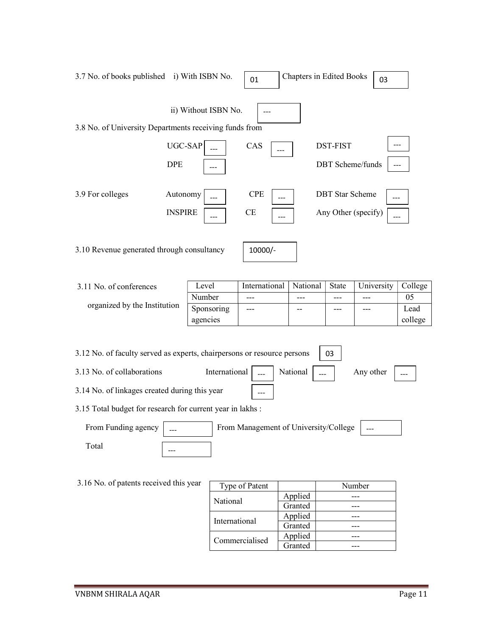| 3.7 No. of books published i) With ISBN No.                             |                            |                                  | 01                                    | <b>Chapters in Edited Books</b> |                        | 03                         |                       |
|-------------------------------------------------------------------------|----------------------------|----------------------------------|---------------------------------------|---------------------------------|------------------------|----------------------------|-----------------------|
|                                                                         | ii) Without ISBN No.       |                                  |                                       |                                 |                        |                            |                       |
| 3.8 No. of University Departments receiving funds from                  |                            |                                  |                                       |                                 |                        |                            |                       |
|                                                                         | UGC-SAP<br><b>DPE</b>      |                                  | CAS                                   |                                 | <b>DST-FIST</b>        | <b>DBT</b> Scheme/funds    | ---                   |
| 3.9 For colleges                                                        | Autonomy<br><b>INSPIRE</b> |                                  | <b>CPE</b><br>CE                      |                                 | <b>DBT</b> Star Scheme | ---<br>Any Other (specify) |                       |
| 3.10 Revenue generated through consultancy                              |                            |                                  | 10000/-                               |                                 |                        |                            |                       |
| 3.11 No. of conferences                                                 |                            | Level                            | International                         | National                        | State                  | University                 | College               |
| organized by the Institution                                            |                            | Number<br>Sponsoring<br>agencies | ---<br>---                            | ---                             | ---                    |                            | 05<br>Lead<br>college |
| 3.12 No. of faculty served as experts, chairpersons or resource persons |                            |                                  |                                       |                                 | 03                     |                            |                       |
| 3.13 No. of collaborations                                              |                            | International                    |                                       | National                        |                        | Any other                  |                       |
| 3.14 No. of linkages created during this year                           |                            |                                  |                                       |                                 |                        |                            |                       |
| 3.15 Total budget for research for current year in lakhs :              |                            |                                  |                                       |                                 |                        |                            |                       |
| From Funding agency                                                     |                            |                                  | From Management of University/College |                                 |                        |                            |                       |
| Total                                                                   |                            |                                  |                                       |                                 |                        |                            |                       |
| 3.16 No. of patents received this year                                  |                            |                                  | Type of Patent                        |                                 |                        | Number                     |                       |

| Type of Patent |         | Number |
|----------------|---------|--------|
| National       | Applied |        |
|                | Granted |        |
| International  | Applied |        |
|                | Granted |        |
| Commercialised | Applied |        |
|                | Granted |        |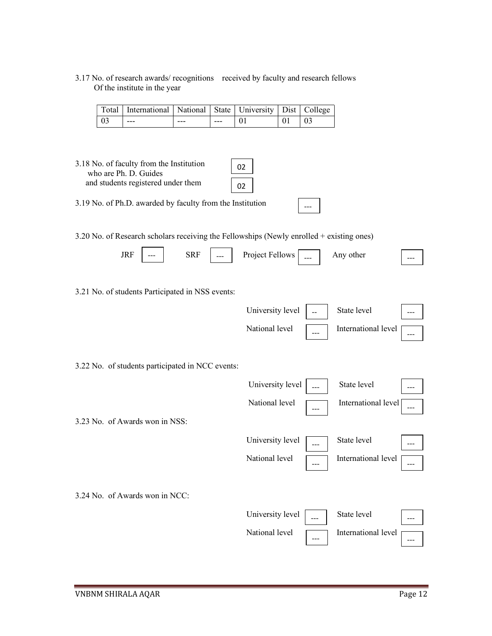3.17 No. of research awards/ recognitions received by faculty and research fellows Of the institute in the year

| Total   International   National   State   University   Dist   College |     |       |  |  |
|------------------------------------------------------------------------|-----|-------|--|--|
| $- - -$                                                                | --- | $---$ |  |  |

- 3.18 No. of faculty from the Institution who are Ph. D. Guides and students registered under them 3.19 No. of Ph.D. awarded by faculty from the Institution 3.20 No. of Research scholars receiving the Fellowships (Newly enrolled + existing ones)  $JRF$   $\begin{array}{|l|}\n\hline\n\end{array}$   $SRF$   $\begin{array}{|l|}\n\hline\n\end{array}$   $\hline\n\end{array}$  Project Fellows  $\begin{array}{|l|}\n\hline\n\end{array}$   $\hline\n\end{array}$  Any other  $\begin{array}{|l|}\n\hline\n\end{array}$ 02 02 ---
- 3.21 No. of students Participated in NSS events:

|                                                  | University level |    | State level         |  |
|--------------------------------------------------|------------------|----|---------------------|--|
|                                                  | National level   |    | International level |  |
|                                                  |                  |    |                     |  |
| 3.22 No. of students participated in NCC events: |                  |    |                     |  |
|                                                  | University level |    | State level         |  |
|                                                  | National level   | -- | International level |  |
| 3.23 No. of Awards won in NSS:                   |                  |    |                     |  |
|                                                  | University level |    | State level         |  |
|                                                  | National level   |    | International level |  |
|                                                  |                  |    |                     |  |
| 3.24 No. of Awards won in NCC:                   |                  |    |                     |  |
|                                                  | University level |    | State level         |  |
|                                                  | National level   |    | International level |  |
|                                                  |                  |    |                     |  |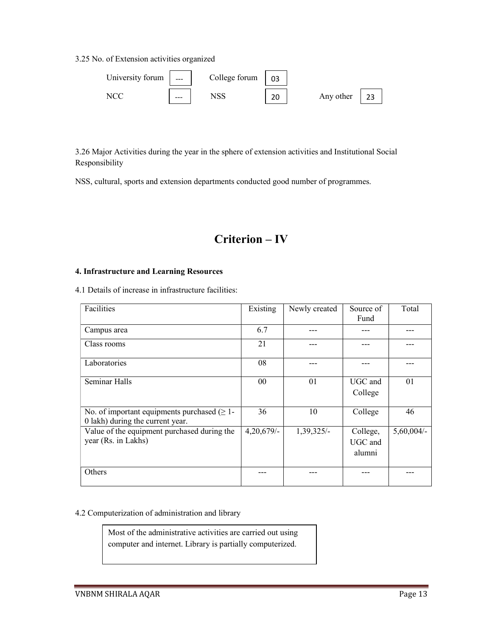3.25 No. of Extension activities organized



3.26 Major Activities during the year in the sphere of extension activities and Institutional Social Responsibility

NSS, cultural, sports and extension departments conducted good number of programmes.

# Criterion – IV

#### 4. Infrastructure and Learning Resources

4.1 Details of increase in infrastructure facilities:

| Facilities                                                                            | Existing        | Newly created | Source of<br>Fund             | Total        |
|---------------------------------------------------------------------------------------|-----------------|---------------|-------------------------------|--------------|
|                                                                                       |                 |               |                               |              |
| Campus area                                                                           | 6.7             |               |                               |              |
| Class rooms                                                                           | 21              |               |                               |              |
| Laboratories                                                                          | 08              |               |                               |              |
| Seminar Halls                                                                         | 00 <sup>°</sup> | 01            | UGC and<br>College            | 01           |
| No. of important equipments purchased $(\geq 1$ -<br>0 lakh) during the current year. | 36              | 10            | College                       | 46           |
| Value of the equipment purchased during the<br>year (Rs. in Lakhs)                    | $4,20,679/$ -   | 1,39,325/-    | College,<br>UGC and<br>alumni | $5,60,004/-$ |
| Others                                                                                |                 |               |                               |              |

#### 4.2 Computerization of administration and library

Most of the administrative activities are carried out using computer and internet. Library is partially computerized.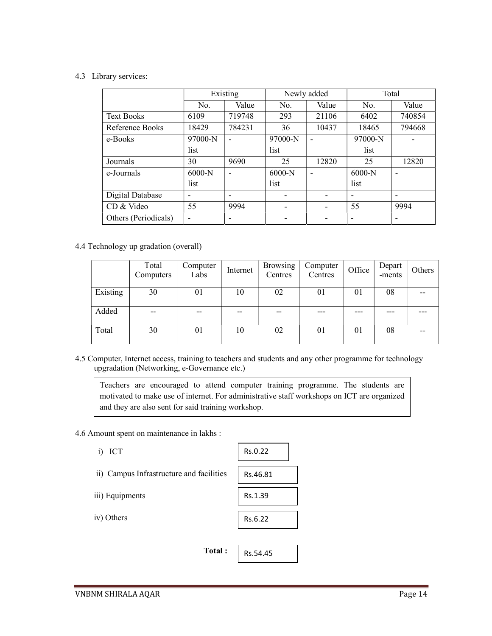#### 4.3 Library services:

|                      | Existing                 |                          | Newly added |       | Total    |        |
|----------------------|--------------------------|--------------------------|-------------|-------|----------|--------|
|                      | No.                      | Value                    | No.         | Value | No.      | Value  |
| <b>Text Books</b>    | 6109                     | 719748                   | 293         | 21106 | 6402     | 740854 |
| Reference Books      | 18429                    | 784231                   | 36          | 10437 | 18465    | 794668 |
| e-Books              | $97000-N$                | $\overline{\phantom{0}}$ | 97000-N     |       | 97000-N  |        |
|                      | list                     |                          | list        |       | list     |        |
| Journals             | 30                       | 9690                     | 25          | 12820 | 25       | 12820  |
| e-Journals           | $6000-N$                 | $\overline{\phantom{0}}$ | $6000-N$    |       | $6000-N$ |        |
|                      | list                     |                          | list        |       | list     |        |
| Digital Database     | ۰                        |                          |             |       |          |        |
| CD & Video           | 55                       | 9994                     |             |       | 55       | 9994   |
| Others (Periodicals) | $\overline{\phantom{0}}$ |                          |             |       |          |        |

#### 4.4 Technology up gradation (overall)

|          | Total<br>Computers | Computer<br>Labs | Internet | <b>Browsing</b><br>Centres | Computer<br>Centres | Office | Depart<br>-ments | Others |
|----------|--------------------|------------------|----------|----------------------------|---------------------|--------|------------------|--------|
| Existing | 30                 | 01               | 10       | 02                         | 01                  | 01     | 08               | --     |
| Added    | $- -$              | $- -$            | $- -$    | $- -$                      |                     |        |                  |        |
| Total    | 30                 | 01               | 10       | 02                         | 01                  | 01     | 08               |        |

4.5 Computer, Internet access, training to teachers and students and any other programme for technology upgradation (Networking, e-Governance etc.)

Teachers are encouraged to attend computer training programme. The students are motivated to make use of internet. For administrative staff workshops on ICT are organized and they are also sent for said training workshop.

4.6 Amount spent on maintenance in lakhs :

 i) ICT ii) Campus Infrastructure and facilities iii) Equipments iv) Others Total : Rs.0.22 Rs.46.81 Rs.1.39 Rs.6.22 Rs.54.45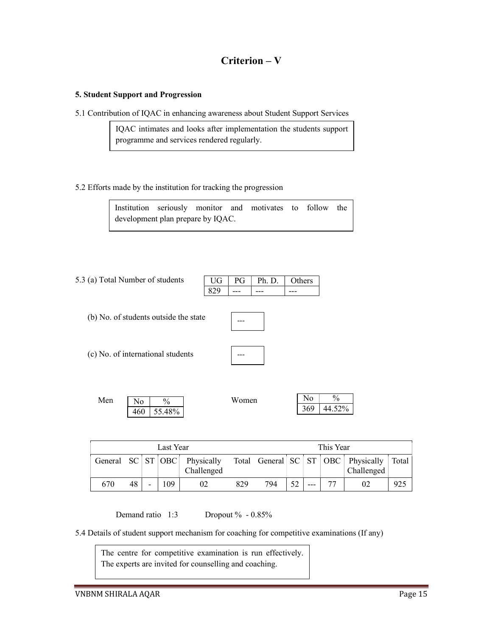## Criterion – V

#### 5. Student Support and Progression

5.1 Contribution of IQAC in enhancing awareness about Student Support Services

IQAC intimates and looks after implementation the students support programme and services rendered regularly.

#### 5.2 Efforts made by the institution for tracking the progression

Institution seriously monitor and motivates to follow the development plan prepare by IQAC.

| 5.3 (a) Total Number of students |     |      | $\mid$ UG $\mid$ PG $\mid$ Ph. D. $\mid$ Others |       |
|----------------------------------|-----|------|-------------------------------------------------|-------|
|                                  | 829 | ---- | .                                               | $---$ |

- (b) No. of students outside the state
- (c) No. of international students

| -<br>- |  |
|--------|--|
|        |  |
|        |  |
|        |  |

---

| Men | No  | $\frac{0}{0}$ | YY Y<br>W omen | N<br>ιU | $\frac{0}{0}$ |  |
|-----|-----|---------------|----------------|---------|---------------|--|
|     | 460 | 55.48%        |                | 369     | 4.52%<br>44   |  |

| Last Year |    |  |    | This Year                                                                     |     |     |    |  |  |            |       |
|-----------|----|--|----|-------------------------------------------------------------------------------|-----|-----|----|--|--|------------|-------|
|           |    |  |    | General SC ST OBC Physically Total General SC ST OBC Physically<br>Challenged |     |     |    |  |  | Challenged | Total |
| 670       | 48 |  | 09 | 02                                                                            | 829 | 794 | 52 |  |  |            | 925   |

Demand ratio 1:3 Dropout % - 0.85%

5.4 Details of student support mechanism for coaching for competitive examinations (If any)

The centre for competitive examination is run effectively. The experts are invited for counselling and coaching.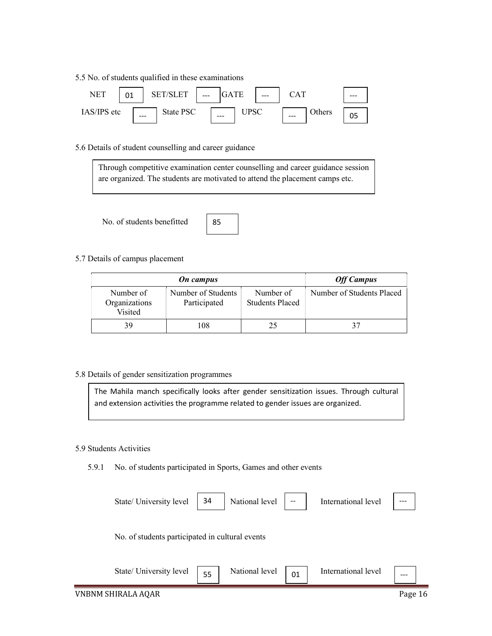5.5 No. of students qualified in these examinations



5.6 Details of student counselling and career guidance



No. of students benefitted



#### 5.7 Details of campus placement

|                                       | <b>Off Campus</b>                  |                                     |                           |
|---------------------------------------|------------------------------------|-------------------------------------|---------------------------|
| Number of<br>Organizations<br>Visited | Number of Students<br>Participated | Number of<br><b>Students Placed</b> | Number of Students Placed |
| 39                                    | 108                                |                                     | 37                        |

#### 5.8 Details of gender sensitization programmes

The Mahila manch specifically looks after gender sensitization issues. Through cultural and extension activities the programme related to gender issues are organized.

#### 5.9 Students Activities

5.9.1 No. of students participated in Sports, Games and other events

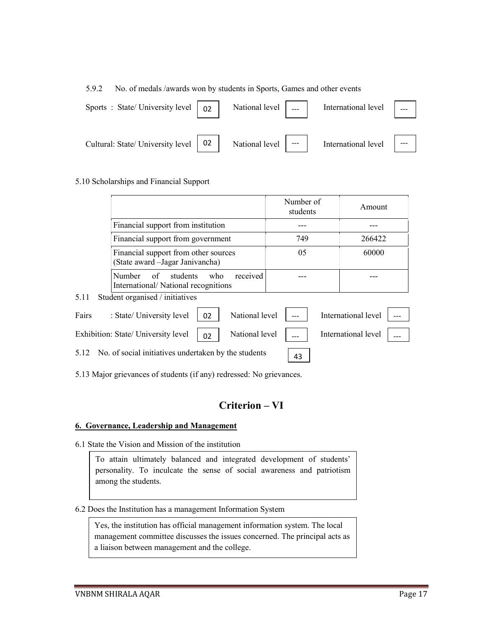#### 5.9.2 No. of medals /awards won by students in Sports, Games and other events

| Sports : State/University level $\begin{bmatrix} 0 & 2 \end{bmatrix}$ | National level $\vert$ __ | International level |  |
|-----------------------------------------------------------------------|---------------------------|---------------------|--|
| Cultural: State/ University level   02   National level   ---         |                           | International level |  |

#### 5.10 Scholarships and Financial Support

 $5.11$ 

|       |                                                                          |     | Number of<br>students |     | Amount |                     |  |
|-------|--------------------------------------------------------------------------|-----|-----------------------|-----|--------|---------------------|--|
|       | Financial support from institution                                       |     |                       |     |        |                     |  |
|       | Financial support from government                                        |     |                       | 749 |        | 266422              |  |
|       | Financial support from other sources<br>(State award - Jagar Janivancha) |     |                       | 05  |        | 60000               |  |
|       | of<br><b>Number</b><br>students<br>International/National recognitions   | who | received              |     |        |                     |  |
| 5.11  | Student organised / initiatives                                          |     |                       |     |        |                     |  |
| Fairs | : State/ University level                                                | 02  | National level        |     |        | International level |  |
|       | Exhibition: State/ University level                                      | 02  | National level        |     |        | International level |  |

5.12 No. of social initiatives undertaken by the students

5.13 Major grievances of students (if any) redressed: No grievances.

## Criterion – VI

43

#### 6. Governance, Leadership and Management

6.1 State the Vision and Mission of the institution

To attain ultimately balanced and integrated development of students' personality. To inculcate the sense of social awareness and patriotism among the students.

#### 6.2 Does the Institution has a management Information System

Yes, the institution has official management information system. The local management committee discusses the issues concerned. The principal acts as a liaison between management and the college.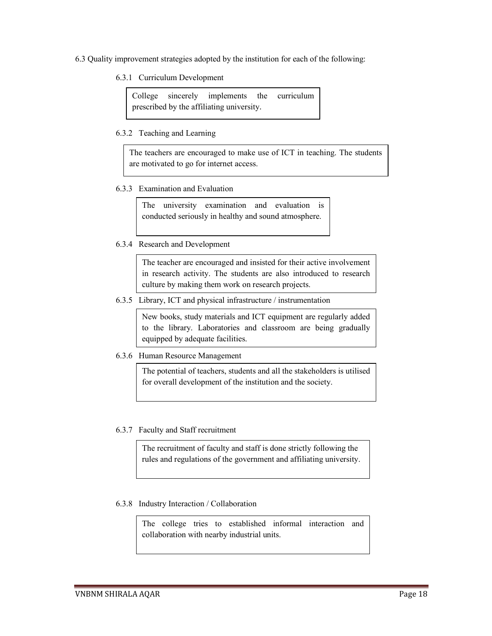- 6.3 Quality improvement strategies adopted by the institution for each of the following:
	- 6.3.1 Curriculum Development

College sincerely implements the curriculum prescribed by the affiliating university.

6.3.2 Teaching and Learning

The teachers are encouraged to make use of ICT in teaching. The students are motivated to go for internet access.

6.3.3 Examination and Evaluation

The university examination and evaluation is conducted seriously in healthy and sound atmosphere.

6.3.4 Research and Development

The teacher are encouraged and insisted for their active involvement in research activity. The students are also introduced to research culture by making them work on research projects.

6.3.5 Library, ICT and physical infrastructure / instrumentation

New books, study materials and ICT equipment are regularly added to the library. Laboratories and classroom are being gradually equipped by adequate facilities.

6.3.6 Human Resource Management

The potential of teachers, students and all the stakeholders is utilised for overall development of the institution and the society.

6.3.7 Faculty and Staff recruitment

The recruitment of faculty and staff is done strictly following the rules and regulations of the government and affiliating university.

6.3.8 Industry Interaction / Collaboration

The college tries to established informal interaction and collaboration with nearby industrial units.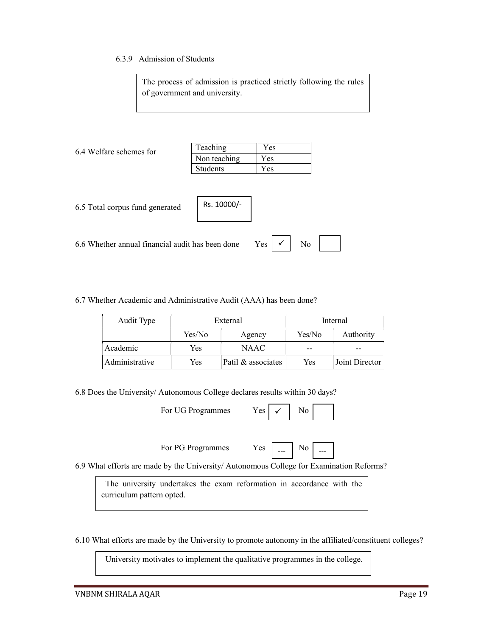#### 6.3.9 Admission of Students

The process of admission is practiced strictly following the rules of government and university.

| 6.4 Welfare schemes for                          | Teaching     | Yes                       |  |
|--------------------------------------------------|--------------|---------------------------|--|
|                                                  | Non teaching | Yes                       |  |
|                                                  | Students     | Yes                       |  |
| 6.5 Total corpus fund generated                  | Rs. 10000/-  |                           |  |
| 6.6 Whether annual financial audit has been done |              | $\checkmark$<br>Yes<br>No |  |

6.7 Whether Academic and Administrative Audit (AAA) has been done?

| Audit Type     | External |                    | Internal |                |
|----------------|----------|--------------------|----------|----------------|
|                | Yes/No   | Agency             | Yes/No   | Authority      |
| Academic       | Yes      | NAAC.              |          |                |
| Administrative | Yes      | Patil & associates | Yes      | Joint Director |

6.8 Does the University/ Autonomous College declares results within 30 days?

For UG Programmes  $Yes \mid \checkmark$  No

| For PG Programmes | Y es - | --- | $\mathbf{N}$ |
|-------------------|--------|-----|--------------|
|-------------------|--------|-----|--------------|

 $\overline{\phantom{0}}$   $\overline{\phantom{0}}$   $\overline{\phantom{0}}$  No

 $\checkmark$ 

6.9 What efforts are made by the University/ Autonomous College for Examination Reforms?

 The university undertakes the exam reformation in accordance with the curriculum pattern opted.

6.10 What efforts are made by the University to promote autonomy in the affiliated/constituent colleges?

University motivates to implement the qualitative programmes in the college.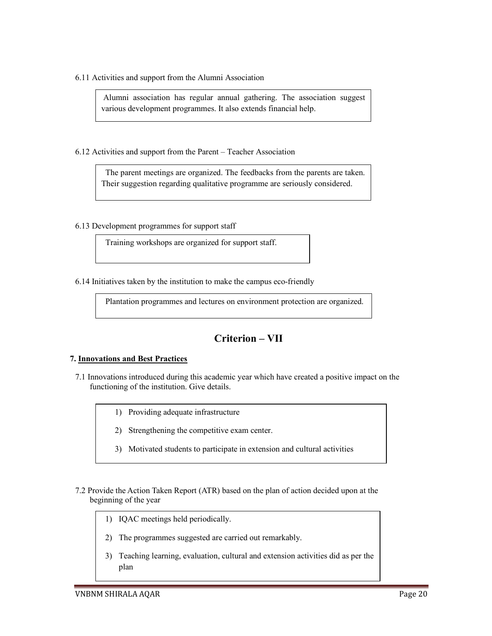6.11 Activities and support from the Alumni Association

 Alumni association has regular annual gathering. The association suggest various development programmes. It also extends financial help.

6.12 Activities and support from the Parent – Teacher Association

 The parent meetings are organized. The feedbacks from the parents are taken. Their suggestion regarding qualitative programme are seriously considered.

6.13 Development programmes for support staff

Training workshops are organized for support staff.

6.14 Initiatives taken by the institution to make the campus eco-friendly

Plantation programmes and lectures on environment protection are organized.

### Criterion – VII

#### 7. Innovations and Best Practices

- 7.1 Innovations introduced during this academic year which have created a positive impact on the functioning of the institution. Give details.
	- 1) Providing adequate infrastructure
	- 2) Strengthening the competitive exam center.
	- 3) Motivated students to participate in extension and cultural activities
- 7.2 Provide the Action Taken Report (ATR) based on the plan of action decided upon at the beginning of the year
	- 1) IQAC meetings held periodically.
	- 2) The programmes suggested are carried out remarkably.
	- 3) Teaching learning, evaluation, cultural and extension activities did as per the plan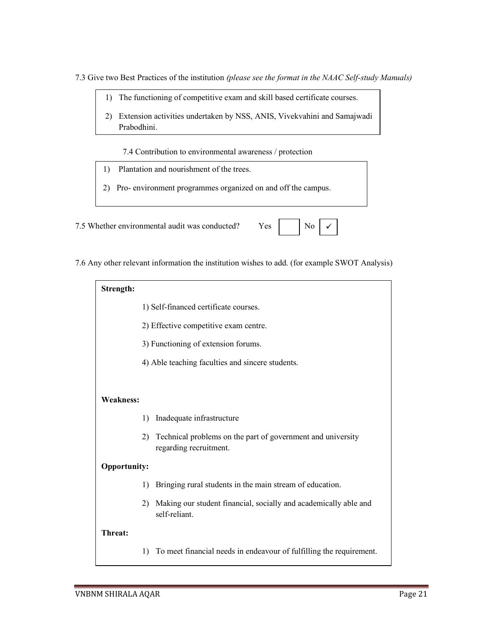7.3 Give two Best Practices of the institution (please see the format in the NAAC Self-study Manuals)

- 1) The functioning of competitive exam and skill based certificate courses.
- 2) Extension activities undertaken by NSS, ANIS, Vivekvahini and Samajwadi Prabodhini.

7.4 Contribution to environmental awareness / protection

- 1) Plantation and nourishment of the trees.
- 2) Pro- environment programmes organized on and off the campus.

7.5 Whether environmental audit was conducted? Yes

7.6 Any other relevant information the institution wishes to add. (for example SWOT Analysis)

| Strength:           |                                       |                                                                                       |  |  |  |  |
|---------------------|---------------------------------------|---------------------------------------------------------------------------------------|--|--|--|--|
|                     | 1) Self-financed certificate courses. |                                                                                       |  |  |  |  |
|                     |                                       | 2) Effective competitive exam centre.                                                 |  |  |  |  |
|                     |                                       | 3) Functioning of extension forums.                                                   |  |  |  |  |
|                     |                                       | 4) Able teaching faculties and sincere students.                                      |  |  |  |  |
|                     |                                       |                                                                                       |  |  |  |  |
| <b>Weakness:</b>    |                                       |                                                                                       |  |  |  |  |
|                     | $\left( \right)$                      | Inadequate infrastructure                                                             |  |  |  |  |
|                     | 2)                                    | Technical problems on the part of government and university<br>regarding recruitment. |  |  |  |  |
| <b>Opportunity:</b> |                                       |                                                                                       |  |  |  |  |
|                     | $\left( \right)$                      | Bringing rural students in the main stream of education.                              |  |  |  |  |
|                     | 2)                                    | Making our student financial, socially and academically able and<br>self-reliant.     |  |  |  |  |
| Threat:             |                                       |                                                                                       |  |  |  |  |
|                     | 1)                                    | To meet financial needs in endeavour of fulfilling the requirement.                   |  |  |  |  |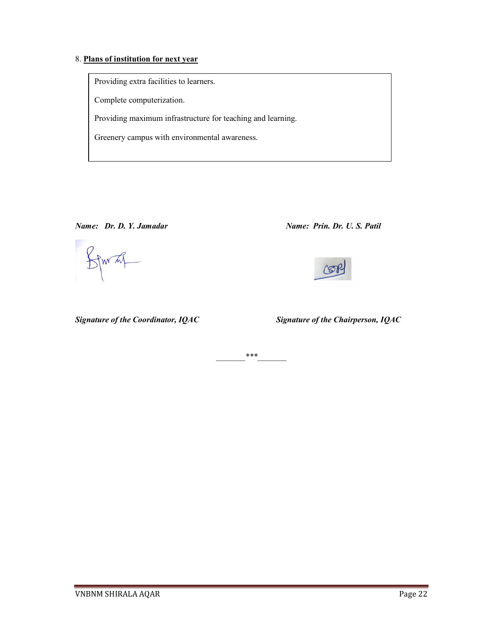#### 8. Plans of institution for next year

Providing extra facilities to learners.

Complete computerization.

Providing maximum infrastructure for teaching and learning.

Greenery campus with environmental awareness.

STWAT

Name: Dr. D. Y. Jamadar Name: Prin. Dr. U. S. Patil



Signature of the Coordinator, IQAC Signature of the Chairperson, IQAC

 $***$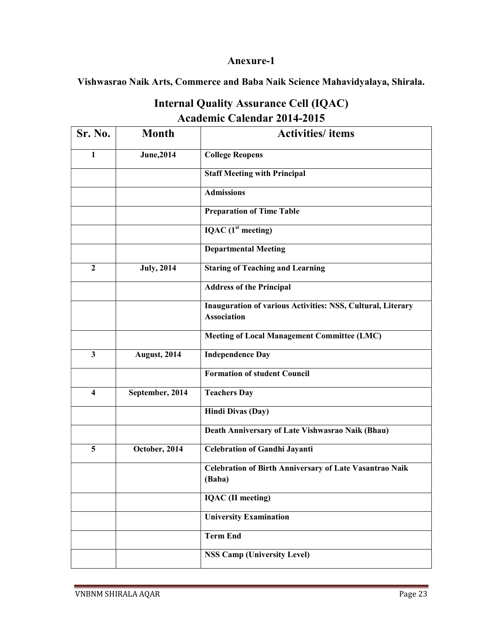### Anexure-1

Vishwasrao Naik Arts, Commerce and Baba Naik Science Mahavidyalaya, Shirala.

| <b>Internal Quality Assurance Cell (IQAC)</b> |  |
|-----------------------------------------------|--|
| <b>Academic Calendar 2014-2015</b>            |  |

| Sr. No.                 | <b>Month</b>      | <b>Activities/</b> items                                                          |
|-------------------------|-------------------|-----------------------------------------------------------------------------------|
| 1                       | <b>June, 2014</b> | <b>College Reopens</b>                                                            |
|                         |                   | <b>Staff Meeting with Principal</b>                                               |
|                         |                   | <b>Admissions</b>                                                                 |
|                         |                   | <b>Preparation of Time Table</b>                                                  |
|                         |                   | IQAC $(1st meeting)$                                                              |
|                         |                   | <b>Departmental Meeting</b>                                                       |
| $\overline{2}$          | <b>July, 2014</b> | <b>Staring of Teaching and Learning</b>                                           |
|                         |                   | <b>Address of the Principal</b>                                                   |
|                         |                   | Inauguration of various Activities: NSS, Cultural, Literary<br><b>Association</b> |
|                         |                   | <b>Meeting of Local Management Committee (LMC)</b>                                |
| $\mathbf{3}$            | August, 2014      | <b>Independence Day</b>                                                           |
|                         |                   | <b>Formation of student Council</b>                                               |
| $\overline{\mathbf{4}}$ | September, 2014   | <b>Teachers Day</b>                                                               |
|                         |                   | <b>Hindi Divas (Day)</b>                                                          |
|                         |                   | Death Anniversary of Late Vishwasrao Naik (Bhau)                                  |
| 5                       | October, 2014     | <b>Celebration of Gandhi Jayanti</b>                                              |
|                         |                   | Celebration of Birth Anniversary of Late Vasantrao Naik<br>(Baba)                 |
|                         |                   | <b>IQAC</b> (II meeting)                                                          |
|                         |                   | <b>University Examination</b>                                                     |
|                         |                   | <b>Term End</b>                                                                   |
|                         |                   | <b>NSS Camp (University Level)</b>                                                |
|                         |                   |                                                                                   |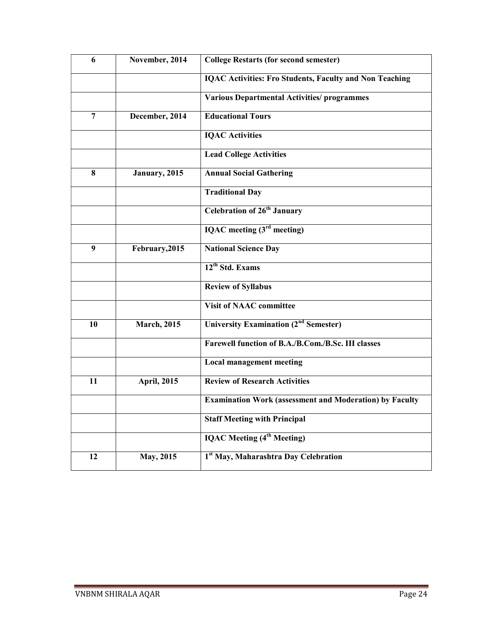| $\overline{6}$ | November, 2014      | <b>College Restarts (for second semester)</b>                  |
|----------------|---------------------|----------------------------------------------------------------|
|                |                     | <b>IQAC Activities: Fro Students, Faculty and Non Teaching</b> |
|                |                     | <b>Various Departmental Activities/ programmes</b>             |
| $\overline{7}$ | December, 2014      | <b>Educational Tours</b>                                       |
|                |                     | <b>IQAC</b> Activities                                         |
|                |                     | <b>Lead College Activities</b>                                 |
| 8              | January, 2015       | <b>Annual Social Gathering</b>                                 |
|                |                     | <b>Traditional Day</b>                                         |
|                |                     | <b>Celebration of 26th January</b>                             |
|                |                     | IQAC meeting $(3rd meeting)$                                   |
| 9              | February, 2015      | <b>National Science Day</b>                                    |
|                |                     | 12 <sup>th</sup> Std. Exams                                    |
|                |                     | <b>Review of Syllabus</b>                                      |
|                |                     | <b>Visit of NAAC committee</b>                                 |
| 10             | <b>March</b> , 2015 | <b>University Examination (2<sup>nd</sup> Semester)</b>        |
|                |                     | Farewell function of B.A./B.Com./B.Sc. III classes             |
|                |                     | <b>Local management meeting</b>                                |
| 11             | <b>April, 2015</b>  | <b>Review of Research Activities</b>                           |
|                |                     | <b>Examination Work (assessment and Moderation) by Faculty</b> |
|                |                     | <b>Staff Meeting with Principal</b>                            |
|                |                     | <b>IQAC Meeting (4<sup>th</sup> Meeting)</b>                   |
| 12             | May, 2015           | 1st May, Maharashtra Day Celebration                           |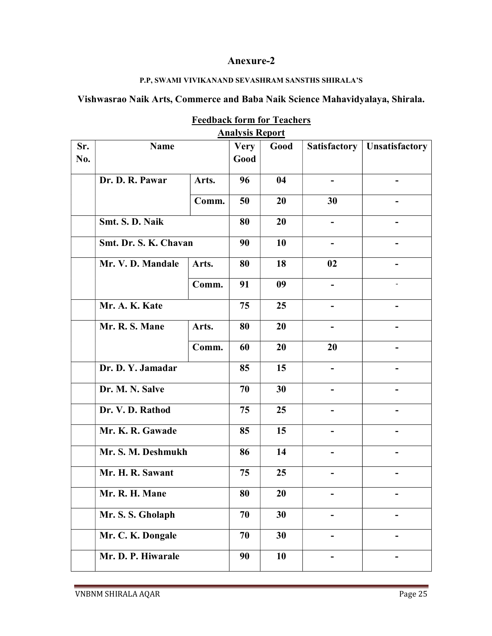### Anexure-2

### P.P, SWAMI VIVIKANAND SEVASHRAM SANSTHS SHIRALA'S

## Vishwasrao Naik Arts, Commerce and Baba Naik Science Mahavidyalaya, Shirala.

|     | <u>Alialysis Repoll</u>                                 |       |             |      |                     |                       |  |  |  |  |
|-----|---------------------------------------------------------|-------|-------------|------|---------------------|-----------------------|--|--|--|--|
| Sr. | <b>Name</b>                                             |       | <b>Very</b> | Good | <b>Satisfactory</b> | <b>Unsatisfactory</b> |  |  |  |  |
| No. |                                                         |       | Good        |      |                     |                       |  |  |  |  |
|     |                                                         |       |             |      |                     |                       |  |  |  |  |
|     | Dr. D. R. Pawar                                         | Arts. | 96          | 04   |                     |                       |  |  |  |  |
|     |                                                         |       | 50          | 20   | 30                  |                       |  |  |  |  |
|     |                                                         | Comm. |             |      |                     |                       |  |  |  |  |
|     | Smt. S. D. Naik                                         |       | 80          | 20   |                     |                       |  |  |  |  |
|     |                                                         |       |             |      |                     |                       |  |  |  |  |
|     | Smt. Dr. S. K. Chavan                                   |       | 90          | 10   |                     |                       |  |  |  |  |
|     |                                                         |       |             |      |                     |                       |  |  |  |  |
|     | Mr. V. D. Mandale                                       | Arts. | 80          | 18   | 02                  |                       |  |  |  |  |
|     |                                                         | Comm. | 91          | 09   |                     |                       |  |  |  |  |
|     |                                                         |       |             |      |                     |                       |  |  |  |  |
|     | Mr. A. K. Kate                                          |       | 75          | 25   |                     |                       |  |  |  |  |
|     |                                                         |       |             |      |                     |                       |  |  |  |  |
|     | Mr. R. S. Mane                                          | Arts. | 80          | 20   |                     |                       |  |  |  |  |
|     |                                                         |       |             |      |                     |                       |  |  |  |  |
|     |                                                         | Comm. | 60          | 20   | 20                  | -                     |  |  |  |  |
|     | Dr. D. Y. Jamadar                                       |       | 85          | 15   |                     |                       |  |  |  |  |
|     | Dr. M. N. Salve<br>Dr. V. D. Rathod<br>Mr. K. R. Gawade |       |             |      |                     |                       |  |  |  |  |
|     |                                                         |       | 70          | 30   |                     |                       |  |  |  |  |
|     |                                                         |       |             |      |                     |                       |  |  |  |  |
|     |                                                         |       | 75          | 25   |                     |                       |  |  |  |  |
|     |                                                         |       | 85          | 15   |                     |                       |  |  |  |  |
|     |                                                         |       |             |      |                     |                       |  |  |  |  |
|     | Mr. S. M. Deshmukh                                      |       | 86          | 14   |                     |                       |  |  |  |  |
|     |                                                         |       |             |      |                     |                       |  |  |  |  |
|     | Mr. H. R. Sawant                                        |       | 75          | 25   | -                   | -                     |  |  |  |  |
|     | Mr. R. H. Mane<br>Mr. S. S. Gholaph                     |       |             |      |                     |                       |  |  |  |  |
|     |                                                         |       | 80          | 20   |                     |                       |  |  |  |  |
|     |                                                         |       | 70          | 30   |                     |                       |  |  |  |  |
|     |                                                         |       |             |      |                     |                       |  |  |  |  |
|     | Mr. C. K. Dongale                                       |       | 70          | 30   | -                   | -                     |  |  |  |  |
|     |                                                         |       |             |      |                     |                       |  |  |  |  |
|     | Mr. D. P. Hiwarale                                      |       | 90          | 10   |                     |                       |  |  |  |  |
|     |                                                         |       |             |      |                     |                       |  |  |  |  |

#### Feedback form for Teachers Analysis Report